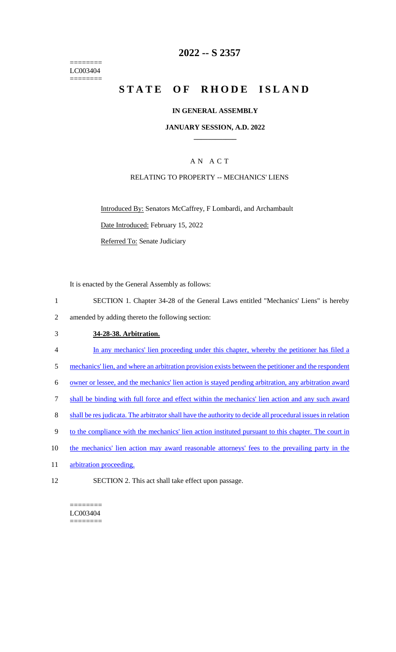======== LC003404 ========

## **2022 -- S 2357**

# **STATE OF RHODE ISLAND**

#### **IN GENERAL ASSEMBLY**

#### **JANUARY SESSION, A.D. 2022 \_\_\_\_\_\_\_\_\_\_\_\_**

## A N A C T

#### RELATING TO PROPERTY -- MECHANICS' LIENS

Introduced By: Senators McCaffrey, F Lombardi, and Archambault

Date Introduced: February 15, 2022

Referred To: Senate Judiciary

It is enacted by the General Assembly as follows:

- 1 SECTION 1. Chapter 34-28 of the General Laws entitled "Mechanics' Liens" is hereby
- 2 amended by adding thereto the following section:

#### 3 **34-28-38. Arbitration.**

- 4 In any mechanics' lien proceeding under this chapter, whereby the petitioner has filed a
- 5 mechanics' lien, and where an arbitration provision exists between the petitioner and the respondent

6 owner or lessee, and the mechanics' lien action is stayed pending arbitration, any arbitration award

- 7 shall be binding with full force and effect within the mechanics' lien action and any such award
- 8 shall be res judicata. The arbitrator shall have the authority to decide all procedural issues in relation
- 9 to the compliance with the mechanics' lien action instituted pursuant to this chapter. The court in
- 10 the mechanics' lien action may award reasonable attorneys' fees to the prevailing party in the
- 11 arbitration proceeding.
- 12 SECTION 2. This act shall take effect upon passage.

 $=$ LC003404 ========